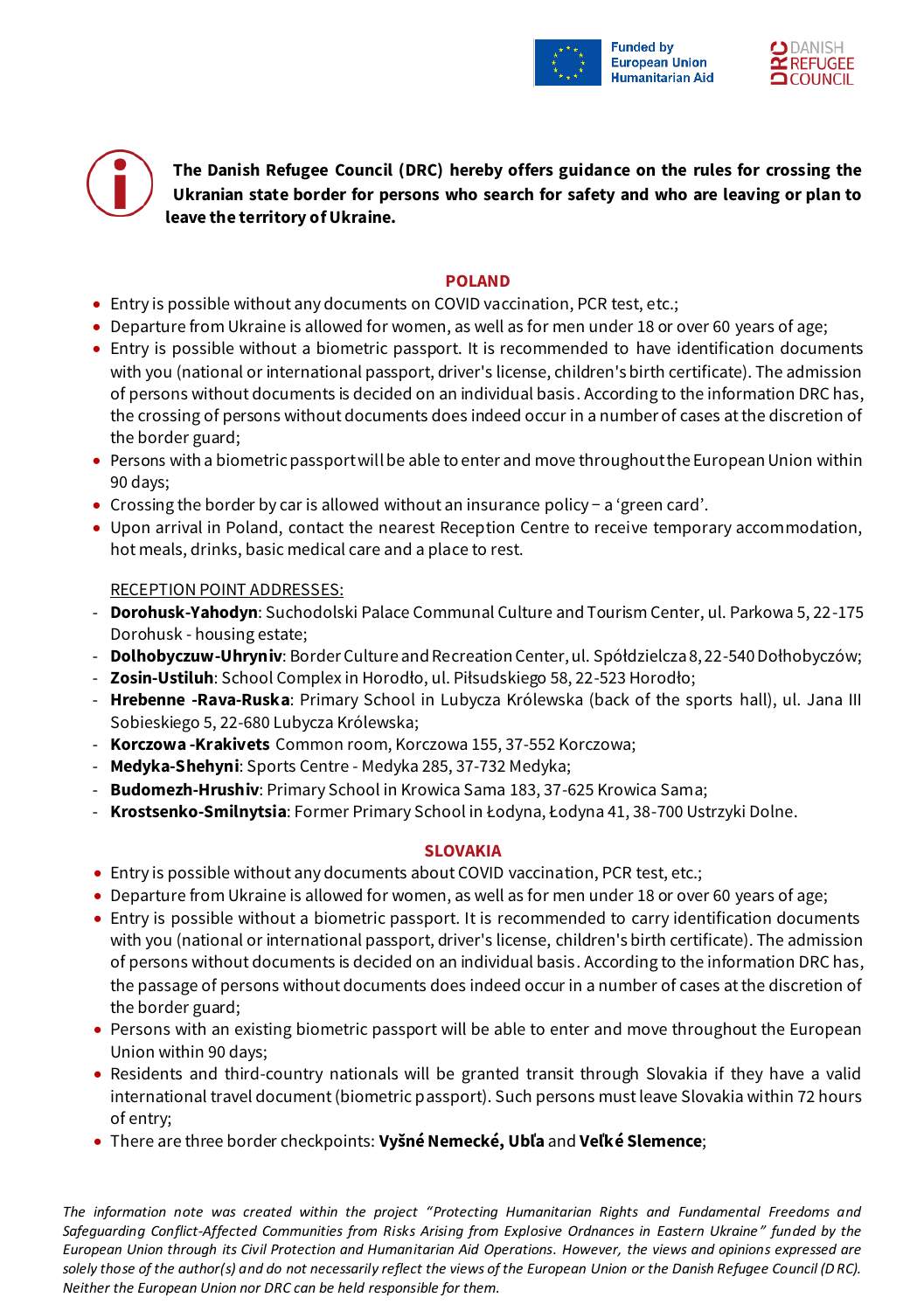

**The Danish Refugee Council (DRC) hereby offers guidance on the rules for crossing the Ukranian state border for persons who search for safety and who are leaving or plan to leave the territory of Ukraine.**

# **POLAND**

- Entry is possible without any documents on COVID vaccination, PCR test, etc.;
- Departure from Ukraine is allowed for women, as well as for men under 18 or over 60 years of age;
- Entry is possible without a biometric passport. It is recommended to have identification documents with you (national or international passport, driver's license, children's birth certificate). The admission of persons without documents is decided on an individual basis. According to the information DRC has, the crossing of persons without documents does indeed occur in a number of cases at the discretion of the border guard;
- Persons with a biometric passport will be able to enter and move throughout the European Union within 90 days;
- Crossing the border by car is allowed without an insurance policy − a 'green card'.
- Upon arrival in Poland, contact the nearest Reception Centre to receive temporary accommodation, hot meals, drinks, basic medical care and a place to rest.

# RECEPTION POINT ADDRESSES:

- **Dorohusk-Yahodyn**: Suchodolski Palace Communal Culture and Tourism Center, ul. Parkowa 5, 22-175 Dorohusk - housing estate;
- **Dolhobyczuw-Uhryniv**: Border Culture and Recreation Center, ul. Spółdzielcza 8, 22-540 Dołhobyczów;
- **Zosin-Ustiluh**: School Complex in Horodło, ul. Piłsudskiego 58, 22-523 Horodło;
- **Hrebenne -Rava-Ruska**: Primary School in Lubycza Królewska (back of the sports hall), ul. Jana III Sobieskiego 5, 22-680 Lubycza Królewska;
- **Korczowa -Krakivets** Common room, Korczowa 155, 37-552 Korczowa;
- **Medyka-Shehyni**: Sports Centre Medyka 285, 37-732 Medyka;
- **Budomezh-Hrushiv**: Primary School in Krowica Sama 183, 37-625 Krowica Sama;
- **Krostsenko-Smilnytsia**: Former Primary School in Łodyna, Łodyna 41, 38-700 Ustrzyki Dolne.

## **SLOVAKIA**

- Entry is possible without any documents about COVID vaccination, PCR test, etc.;
- Departure from Ukraine is allowed for women, as well as for men under 18 or over 60 years of age;
- Entry is possible without a biometric passport. It is recommended to carry identification documents with you (national or international passport, driver's license, children's birth certificate). The admission of persons without documents is decided on an individual basis. According to the information DRC has, the passage of persons without documents does indeed occur in a number of cases at the discretion of the border guard;
- Persons with an existing biometric passport will be able to enter and move throughout the European Union within 90 days;
- Residents and third-country nationals will be granted transit through Slovakia if they have a valid international travel document (biometric passport). Such persons must leave Slovakia within 72 hours of entry;
- There are three border checkpoints: **Vyšné Nemecké, Ubľa** and **Veľké Slemence**;

*The information note was created within the project "Protecting Humanitarian Rights and Fundamental Freedoms and Safeguarding Conflict-Affected Communities from Risks Arising from Explosive Ordnances in Eastern Ukraine" funded by the European Union through its Civil Protection and Humanitarian Aid Operations. However, the views and opinions expressed are solely those of the author(s) and do not necessarily reflect the views of the European Union or the Danish Refugee Council (DRC). Neither the European Union nor DRC can be held responsible for them.*